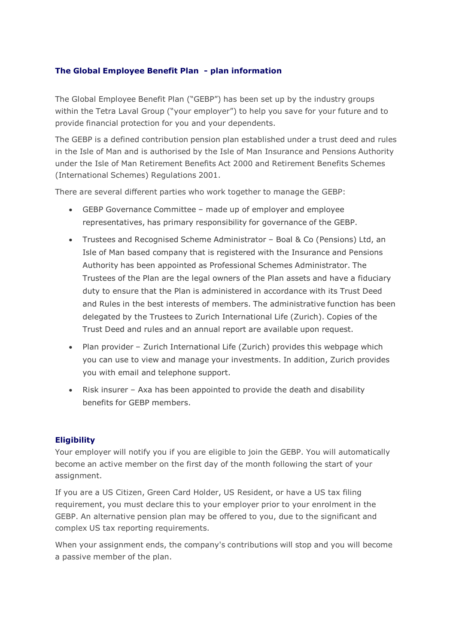# **The Global Employee Benefit Plan - plan information**

The Global Employee Benefit Plan ("GEBP") has been set up by the industry groups within the Tetra Laval Group ("your employer") to help you save for your future and to provide financial protection for you and your dependents.

The GEBP is a defined contribution pension plan established under a trust deed and rules in the Isle of Man and is authorised by the Isle of Man Insurance and Pensions Authority under the Isle of Man Retirement Benefits Act 2000 and Retirement Benefits Schemes (International Schemes) Regulations 2001.

There are several different parties who work together to manage the GEBP:

- GEBP Governance Committee made up of employer and employee representatives, has primary responsibility for governance of the GEBP.
- Trustees and Recognised Scheme Administrator Boal & Co (Pensions) Ltd, an Isle of Man based company that is registered with the Insurance and Pensions Authority has been appointed as Professional Schemes Administrator. The Trustees of the Plan are the legal owners of the Plan assets and have a fiduciary duty to ensure that the Plan is administered in accordance with its Trust Deed and Rules in the best interests of members. The administrative function has been delegated by the Trustees to Zurich International Life (Zurich). Copies of the Trust Deed and rules and an annual report are available upon request.
- Plan provider Zurich International Life (Zurich) provides this webpage which you can use to view and manage your investments. In addition, Zurich provides you with email and telephone support.
- Risk insurer Axa has been appointed to provide the death and disability benefits for GEBP members.

# **Eligibility**

Your employer will notify you if you are eligible to join the GEBP. You will automatically become an active member on the first day of the month following the start of your assignment.

If you are a US Citizen, Green Card Holder, US Resident, or have a US tax filing requirement, you must declare this to your employer prior to your enrolment in the GEBP. An alternative pension plan may be offered to you, due to the significant and complex US tax reporting requirements.

When your assignment ends, the company's contributions will stop and you will become a passive member of the plan.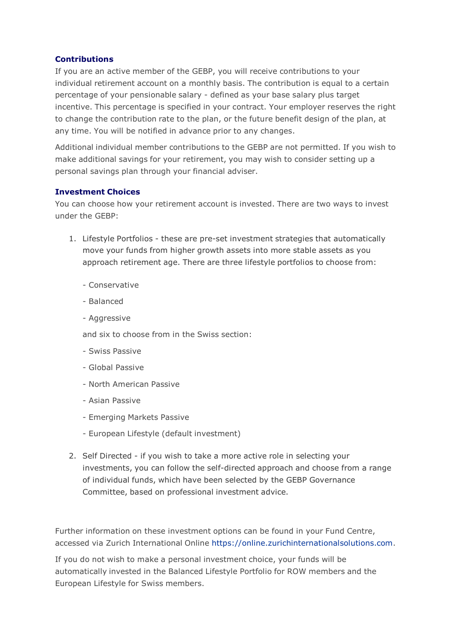# **Contributions**

If you are an active member of the GEBP, you will receive contributions to your individual retirement account on a monthly basis. The contribution is equal to a certain percentage of your pensionable salary - defined as your base salary plus target incentive. This percentage is specified in your contract. Your employer reserves the right to change the contribution rate to the plan, or the future benefit design of the plan, at any time. You will be notified in advance prior to any changes.

Additional individual member contributions to the GEBP are not permitted. If you wish to make additional savings for your retirement, you may wish to consider setting up a personal savings plan through your financial adviser.

# **Investment Choices**

You can choose how your retirement account is invested. There are two ways to invest under the GEBP:

- 1. Lifestyle Portfolios these are pre-set investment strategies that automatically move your funds from higher growth assets into more stable assets as you approach retirement age. There are three lifestyle portfolios to choose from:
	- Conservative
	- Balanced
	- Aggressive

and six to choose from in the Swiss section:

- Swiss Passive
- Global Passive
- North American Passive
- Asian Passive
- Emerging Markets Passive
- European Lifestyle (default investment)
- 2. Self Directed if you wish to take a more active role in selecting your investments, you can follow the self-directed approach and choose from a range of individual funds, which have been selected by the GEBP Governance Committee, based on professional investment advice.

Further information on these investment options can be found in your Fund Centre, accessed via Zurich International Online [https://online.zurichinternationalsolutions.com.](https://online.zurichinternationalsolutions.com/)

If you do not wish to make a personal investment choice, your funds will be automatically invested in the Balanced Lifestyle Portfolio for ROW members and the European Lifestyle for Swiss members.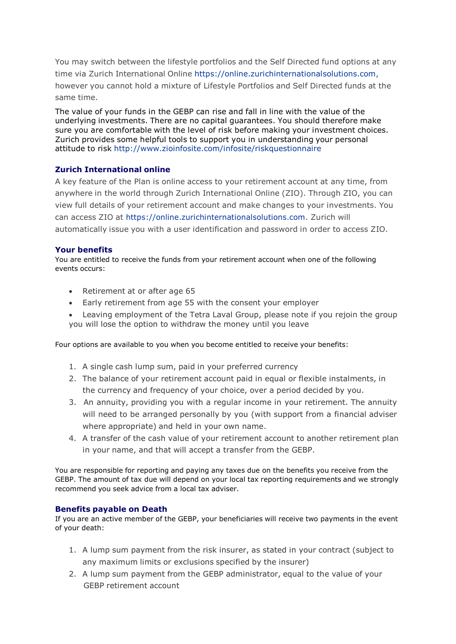You may switch between the lifestyle portfolios and the Self Directed fund options at any time via Zurich International Online [https://online.zurichinternationalsolutions.com,](https://online.zurichinternationalsolutions.com/) however you cannot hold a mixture of Lifestyle Portfolios and Self Directed funds at the same time.

The value of your funds in the GEBP can rise and fall in line with the value of the underlying investments. There are no capital guarantees. You should therefore make sure you are comfortable with the level of risk before making your investment choices. Zurich provides some helpful tools to support you in understanding your personal attitude to risk <http://www.zioinfosite.com/infosite/riskquestionnaire>

# **Zurich International online**

A key feature of the Plan is online access to your retirement account at any time, from anywhere in the world through Zurich International Online (ZIO). Through ZIO, you can view full details of your retirement account and make changes to your investments. You can access ZIO at [https://online.zurichinternationalsolutions.com.](https://online.zurichinternationalsolutions.com/) Zurich will automatically issue you with a user identification and password in order to access ZIO.

### **Your benefits**

You are entitled to receive the funds from your retirement account when one of the following events occurs:

- Retirement at or after age 65
- Early retirement from age 55 with the consent your employer
- Leaving employment of the Tetra Laval Group, please note if you rejoin the group you will lose the option to withdraw the money until you leave

Four options are available to you when you become entitled to receive your benefits:

- 1. A single cash lump sum, paid in your preferred currency
- 2. The balance of your retirement account paid in equal or flexible instalments, in the currency and frequency of your choice, over a period decided by you.
- 3. An annuity, providing you with a regular income in your retirement. The annuity will need to be arranged personally by you (with support from a financial adviser where appropriate) and held in your own name.
- 4. A transfer of the cash value of your retirement account to another retirement plan in your name, and that will accept a transfer from the GEBP.

You are responsible for reporting and paying any taxes due on the benefits you receive from the GEBP. The amount of tax due will depend on your local tax reporting requirements and we strongly recommend you seek advice from a local tax adviser.

### **Benefits payable on Death**

If you are an active member of the GEBP, your beneficiaries will receive two payments in the event of your death:

- 1. A lump sum payment from the risk insurer, as stated in your contract (subject to any maximum limits or exclusions specified by the insurer)
- 2. A lump sum payment from the GEBP administrator, equal to the value of your GEBP retirement account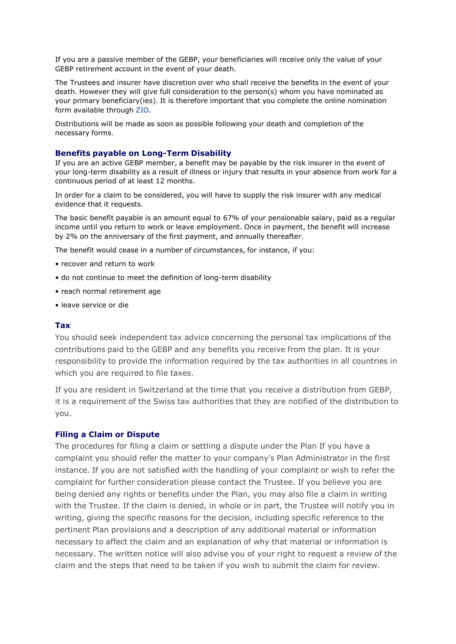If you are a passive member of the GEBP, your beneficiaries will receive only the value of your GEBP retirement account in the event of your death.

The Trustees and insurer have discretion over who shall receive the benefits in the event of your death. However they will give full consideration to the person(s) whom you have nominated as your primary beneficiary(ies). It is therefore important that you complete the online nomination form available through ZIO.

Distributions will be made as soon as possible following your death and completion of the necessary forms.

### **Benefits payable on Long-Term Disability**

If you are an active GEBP member, a benefit may be payable by the risk insurer in the event of your long-term disability as a result of illness or injury that results in your absence from work for a continuous period of at least 12 months.

In order for a claim to be considered, you will have to supply the risk insurer with any medical evidence that it requests.

The basic benefit payable is an amount equal to 67% of your pensionable salary, paid as a regular income until you return to work or leave employment. Once in payment, the benefit will increase by 2% on the anniversary of the first payment, and annually thereafter.

The benefit would cease in a number of circumstances, for instance, if you:

- recover and return to work
- do not continue to meet the definition of long-term disability
- reach normal retirement age
- leave service or die

### **Tax**

You should seek independent tax advice concerning the personal tax implications of the contributions paid to the GEBP and any benefits you receive from the plan. It is your responsibility to provide the information required by the tax authorities in all countries in which you are required to file taxes.

If you are resident in Switzerland at the time that you receive a distribution from GEBP, it is a requirement of the Swiss tax authorities that they are notified of the distribution to you.

#### **Filing a Claim or Dispute**

The procedures for filing a claim or settling a dispute under the Plan If you have a complaint you should refer the matter to your company's Plan Administrator in the first instance. If you are not satisfied with the handling of your complaint or wish to refer the complaint for further consideration please contact the Trustee. If you believe you are being denied any rights or benefits under the Plan, you may also file a claim in writing with the Trustee. If the claim is denied, in whole or in part, the Trustee will notify you in writing, giving the specific reasons for the decision, including specific reference to the pertinent Plan provisions and a description of any additional material or information necessary to affect the claim and an explanation of why that material or information is necessary. The written notice will also advise you of your right to request a review of the claim and the steps that need to be taken if you wish to submit the claim for review.